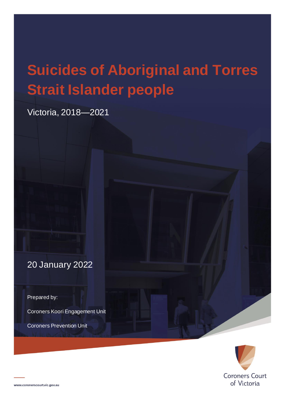# **Suicides of Aboriginal and Torres Strait Islander people**

Victoria, 2018—2021

20 January 2022

Prepared by:

Coroners Koori Engagement Unit

Coroners Prevention Unit

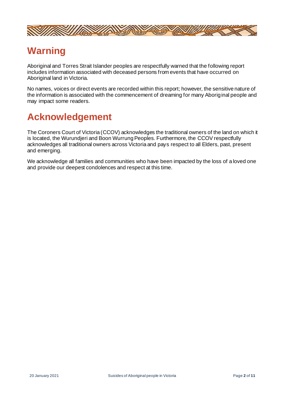

## **Warning**

Aboriginal and Torres Strait Islander peoples are respectfully warned that the following report includes information associated with deceased persons from events that have occurred on Aboriginal land in Victoria.

No names, voices or direct events are recorded within this report; however, the sensitive nature of the information is associated with the commencement of dreaming for many Aboriginal people and may impact some readers.

# **Acknowledgement**

The Coroners Court of Victoria (CCOV) acknowledges the traditional owners of the land on which it is located, the Wurundjeri and Boon Wurrung Peoples. Furthermore, the CCOV respectfully acknowledges all traditional owners across Victoria and pays respect to all Elders, past, present and emerging.

We acknowledge all families and communities who have been impacted by the loss of a loved one and provide our deepest condolences and respect at this time.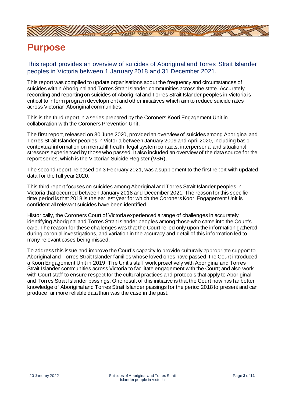

### **Purpose**

This report provides an overview of suicides of Aboriginal and Torres Strait Islander peoples in Victoria between 1 January 2018 and 31 December 2021.

This report was compiled to update organisations about the frequency and circumstances of suicides within Aboriginal and Torres Strait Islander communities across the state. Accurately recording and reporting on suicides of Aboriginal and Torres Strait Islander peoples in Victoria is critical to inform program development and other initiatives which aim to reduce suicide rates across Victorian Aboriginal communities.

This is the third report in a series prepared by the Coroners Koori Engagement Unit in collaboration with the Coroners Prevention Unit.

The first report, released on 30 June 2020, provided an overview of suicides among Aboriginal and Torres Strait Islander peoples in Victoria between January 2009 and April 2020, including basic contextual information on mental ill health, legal system contacts, interpersonal and situational stressors experienced by those who passed. It also included an overview of the data source for the report series, which is the Victorian Suicide Register (VSR).

The second report, released on 3 February 2021, was a supplement to the first report with updated data for the full year 2020.

This third report focuses on suicides among Aboriginal and Torres Strait Islander peoples in Victoria that occurred between January 2018 and December 2021. The reason for this specific time period is that 2018 is the earliest year for which the Coroners Koori Engagement Unit is confident all relevant suicides have been identified.

Historically, the Coroners Court of Victoria experienced a range of challenges in accurately identifying Aboriginal and Torres Strait Islander peoples among those who came into the Court's care. The reason for these challenges was that the Court relied only upon the information gathered during coronial investigations, and variation in the accuracy and detail of this information led to many relevant cases being missed.

To address this issue and improve the Court's capacity to provide culturally appropriate support to Aboriginal and Torres Strait Islander families whose loved ones have passed, the Court introduced a Koori Engagement Unit in 2019. The Unit's staff work proactively with Aboriginal and Torres Strait Islander communities across Victoria to facilitate engagement with the Court; and also work with Court staff to ensure respect for the cultural practices and protocols that apply to Aboriginal and Torres Strait Islander passings. One result of this initiative is that the Court now has far better knowledge of Aboriginal and Torres Strait Islander passings for the period 2018 to present and can produce far more reliable data than was the case in the past.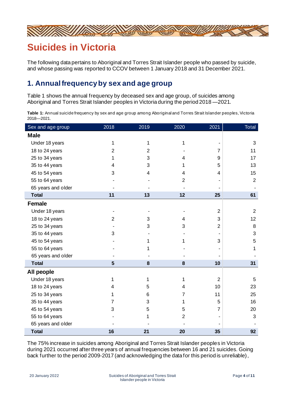

## **Suicides in Victoria**

The following data pertains to Aboriginal and Torres Strait Islander people who passed by suicide, and whose passing was reported to CCOV between 1 January 2018 and 31 December 2021.

#### **1. Annualfrequencyby sex and age group**

Table 1 shows the annual frequency by deceased sex and age group, of suicides among Aboriginal and Torres Strait Islander peoples in Victoria during the period 2018 —2021.

**Table 1:** Annual suicide frequency by sex and age group among Aboriginal and Torres Strait Islander peoples, Victoria 2018—2021.

| Sex and age group  | 2018           | 2019           | 2020           | 2021           | Total          |
|--------------------|----------------|----------------|----------------|----------------|----------------|
| <b>Male</b>        |                |                |                |                |                |
| Under 18 years     | 1              | 1              | 1              |                | 3              |
| 18 to 24 years     | $\overline{2}$ | $\overline{2}$ |                | 7              | 11             |
| 25 to 34 years     | 1              | 3              | 4              | 9              | 17             |
| 35 to 44 years     | 4              | 3              | 1              | 5              | 13             |
| 45 to 54 years     | 3              | 4              | 4              | 4              | 15             |
| 55 to 64 years     |                |                | $\overline{2}$ |                | $\overline{2}$ |
| 65 years and older |                |                |                |                |                |
| <b>Total</b>       | 11             | 13             | 12             | 25             | 61             |
| <b>Female</b>      |                |                |                |                |                |
| Under 18 years     |                |                |                | $\overline{2}$ | $\overline{2}$ |
| 18 to 24 years     | $\overline{2}$ | 3              | 4              | 3              | 12             |
| 25 to 34 years     |                | 3              | 3              | $\overline{2}$ | 8              |
| 35 to 44 years     | 3              |                |                |                | 3              |
| 45 to 54 years     |                | 1              | 1              | 3              | 5              |
| 55 to 64 years     |                |                |                |                | 1              |
| 65 years and older |                |                |                |                |                |
| <b>Total</b>       | $5\phantom{1}$ | 8              | 8              | 10             | 31             |
| All people         |                |                |                |                |                |
| Under 18 years     | 1              | 1              | 1              | $\overline{2}$ | 5              |
| 18 to 24 years     | 4              | 5              | 4              | 10             | 23             |
| 25 to 34 years     | 1              | 6              | 7              | 11             | 25             |
| 35 to 44 years     | 7              | 3              | 1              | 5              | 16             |
| 45 to 54 years     | 3              | 5              | 5              | $\overline{7}$ | 20             |
| 55 to 64 years     |                | 1              | $\overline{2}$ |                | 3              |
| 65 years and older |                |                |                |                |                |
| <b>Total</b>       | 16             | 21             | 20             | 35             | 92             |

The 75% increase in suicides among Aboriginal and Torres Strait Islander peoples in Victoria during 2021 occurred after three years of annual frequencies between 16 and 21 suicides. Going back further to the period 2009-2017 (and acknowledging the data for this period is unreliable),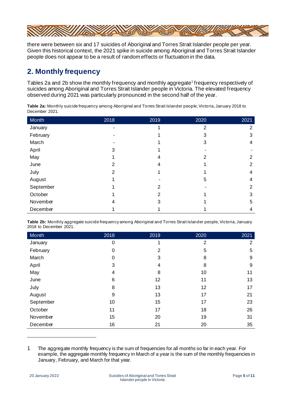

there were between six and 17 suicides of Aboriginal and Torres Strait Islander people per year. Given this historical context, the 2021 spike in suicide among Aboriginal and Torres Strait Islander people does not appear to be a result of random effects or fluctuation in the data.

#### **2. Monthly frequency**

Tables 2a and 2b show the monthly frequency and monthly aggregate<sup>1</sup> frequency respectively of suicides among Aboriginal and Torres Strait Islander people in Victoria. The elevated frequency observed during 2021 was particularly pronounced in the second half of the year.

| Month     | 2018 | 2019          | 2020           | 2021           |
|-----------|------|---------------|----------------|----------------|
| January   |      |               | $\overline{2}$ | 2              |
| February  |      |               | 3              | 3              |
| March     |      |               | 3              | 4              |
| April     | 3    |               |                |                |
| May       |      | 4             | 2              | 2              |
| June      | 2    | 4             |                | 2              |
| July      | 2    |               |                | 4              |
| August    |      |               | 5              | 4              |
| September |      | 2             |                | $\overline{2}$ |
| October   |      | $\mathcal{P}$ |                | 3              |
| November  | 4    | 3             |                | 5              |
| December  |      |               |                | 4              |

**Table 2a:** Monthly suicide frequency among Aboriginal and Torres Strait Islander people, Victoria, January 2018 to December 2021.

**Table 2b:** Monthly aggregate suicide frequency among Aboriginal and Torres Strait Islander people, Victoria, January 2018 to December 2021.

| Month     | 2018        | 2019 | 2020           | 2021           |
|-----------|-------------|------|----------------|----------------|
| January   | $\mathbf 0$ |      | $\overline{2}$ | $\overline{2}$ |
| February  | 0           | 2    | 5              | 5              |
| March     | $\mathbf 0$ | 3    | 8              | 9              |
| April     | 3           | 4    | 8              | 9              |
| May       | 4           | 8    | 10             | 11             |
| June      | 6           | 12   | 11             | 13             |
| July      | 8           | 13   | 12             | 17             |
| August    | 9           | 13   | 17             | 21             |
| September | 10          | 15   | 17             | 23             |
| October   | 11          | 17   | 18             | 26             |
| November  | 15          | 20   | 19             | 31             |
| December  | 16          | 21   | 20             | 35             |

<sup>1</sup> The aggregate monthly frequency is the sum of frequencies for all months so far in each year. For example, the aggregate monthly frequency in March of a year is the sum of the monthly frequencies in January, February, and March for that year.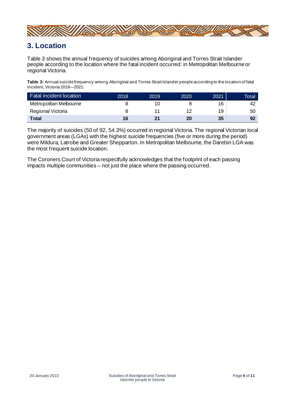

#### **3. Location**

Table 3 shows the annual frequency of suicides among Aboriginal and Torres Strait Islander people according to the location where the fatal incident occurred: in Metropolitan Melbourne or regional Victoria.

**Table 3:** Annual suicide frequency among Aboriginal and Torres Strait Islander people according to the location of fatal incident, Victoria 2018—2021.

| <b>Fatal incident location</b> | 2018 | 2019 | 2020 | 2021 | <b>Total</b> |
|--------------------------------|------|------|------|------|--------------|
| Metropolitan Melbourne         |      | ΙU   |      | 16   | 42           |
| Regional Victoria              |      |      | 12   | 19   | 50           |
| Total                          | 16   | 21   | 20   | 35   | 92           |

The majority of suicides (50 of 92, 54.3%) occurred in regional Victoria. The regional Victorian local government areas (LGAs) with the highest suicide frequencies (five or more during the period) were Mildura, Latrobe and Greater Shepparton. In Metropolitan Melbourne, the Darebin LGA was the most frequent suicide location.

The Coroners Court of Victoria respectfully acknowledges that the footprint of each passing impacts multiple communities – not just the place where the passing occurred.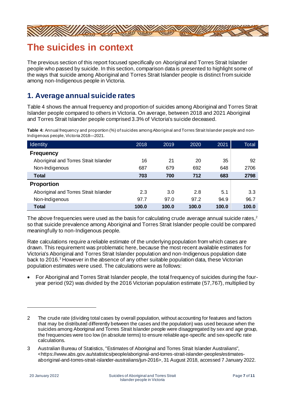

## **The suicides in context**

The previous section of this report focused specifically on Aboriginal and Torres Strait Islander people who passed by suicide. In this section, comparison data is presented to highlight some of the ways that suicide among Aboriginal and Torres Strait Islander people is distinct from suicide among non-Indigenous people in Victoria.

#### **1. Average annual suicide rates**

Table 4 shows the annual frequency and proportion of suicides among Aboriginal and Torres Strait Islander people compared to others in Victoria. On average, between 2018 and 2021 Aboriginal and Torres Strait Islander people comprised 3.3% of Victoria's suicide deceased.

| 2018  | 2019  | 2020  | 2021  | Total |
|-------|-------|-------|-------|-------|
|       |       |       |       |       |
| 16    | 21    | 20    | 35    | 92    |
| 687   | 679   | 692   | 648   | 2706  |
| 703   | 700   | 712   | 683   | 2798  |
|       |       |       |       |       |
| 2.3   | 3.0   | 2.8   | 5.1   | 3.3   |
| 97.7  | 97.0  | 97.2  | 94.9  | 96.7  |
| 100.0 | 100.0 | 100.0 | 100.0 | 100.0 |
|       |       |       |       |       |

**Table 4:** Annual frequency and proportion (%) of suicides among Aboriginal and Torres Strait Islander people and non-Indigenous people, Victoria 2018—2021.

The above frequencies were used as the basis for calculating crude average annual suicide rates, $^{\text{2}}$ so that suicide prevalence among Aboriginal and Torres Strait Islander people could be compared meaningfully to non-Indigenous people.

Rate calculations require a reliable estimate of the underlying population from which cases are drawn. This requirement was problematic here, because the most recent available estimates for Victoria's Aboriginal and Torres Strait Islander population and non-Indigenous population date back to 2016. <sup>3</sup> However in the absence of any other suitable population data, these Victorian population estimates were used. The calculations were as follows:

• For Aboriginal and Torres Strait Islander people, the total frequency of suicides during the fouryear period (92) was divided by the 2016 Victorian population estimate (57,767), multiplied by

<sup>2</sup> The crude rate (dividing total cases by overall population, without accounting for features and factors that may be distributed differently between the cases and the population) was used because when the suicides among Aboriginal and Torres Strait Islander people were disaggregated by sex and age group, the frequencies were too low (in absolute terms) to ensure reliable age-specific and sex-specific rate calculations.

<sup>3</sup> Australian Bureau of Statistics, "Estimates of Aboriginal and Torres Strait Islander Australians", <https://www.abs.gov.au/statistics/people/aboriginal-and-torres-strait-islander-peoples/estimatesaboriginal-and-torres-strait-islander-australians/jun-2016>, 31 August 2018, accessed 7 January 2022.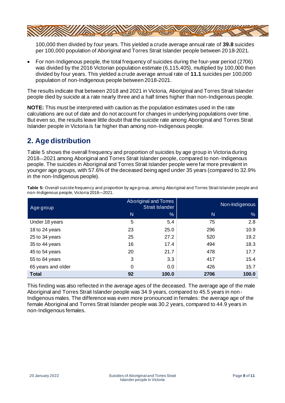

100,000 then divided by four years. This yielded a crude average annual rate of **39.8** suicides per 100,000 population of Aboriginal and Torres Strait Islander people between 2018-2021.

• For non-Indigenous people, the total frequency of suicides during the four-year period (2706) was divided by the 2016 Victorian population estimate (6,115,405), multiplied by 100,000 then divided by four years. This yielded a crude average annual rate of **11.1** suicides per 100,000 population of non-Indigenous people between 2018-2021.

The results indicate that between 2018 and 2021 in Victoria, Aboriginal and Torres Strait Islander people died by suicide at a rate nearly three and a half times higher than non-Indigenous people.

**NOTE:** This must be interpreted with caution as the population estimates used in the rate calculations are out of date and do not account for changes in underlying populations over time. But even so, the results leave little doubt that the suicide rate among Aboriginal and Torres Strait Islander people in Victoria is far higher than among non-Indigenous people.

#### **2. Age distribution**

Table 5 shows the overall frequency and proportion of suicides by age group in Victoria during 2018—2021 among Aboriginal and Torres Strait Islander people, compared to non-Indigenous people. The suicides in Aboriginal and Torres Strait Islander people were far more prevalent in younger age groups, with 57.6% of the deceased being aged under 35 years (compared to 32.9% in the non-Indigenous people).

| Age group          |          | Aboriginal and Torres<br>Strait Islander | Non-Indigenous |               |
|--------------------|----------|------------------------------------------|----------------|---------------|
|                    | N        | %                                        | N              | $\frac{9}{6}$ |
| Under 18 years     | 5        | 5.4                                      | 75             | 2.8           |
| 18 to 24 years     | 23       | 25.0                                     | 296            | 10.9          |
| 25 to 34 years     | 25       | 27.2                                     | 520            | 19.2          |
| 35 to 44 years     | 16       | 17.4                                     | 494            | 18.3          |
| 45 to 54 years     | 20       | 21.7                                     | 478            | 17.7          |
| 55 to 64 years     | 3        | 3.3                                      | 417            | 15.4          |
| 65 years and older | $\Omega$ | 0.0                                      | 426            | 15.7          |
| <b>Total</b>       | 92       | 100.0                                    | 2706           | 100.0         |

**Table 5:** Overall suicide frequency and proportion by age group, among Aboriginal and Torres Strait Islander people and non-Indigenous people, Victoria 2018—2021.

This finding was also reflected in the average ages of the deceased. The average age of the male Aboriginal and Torres Strait Islander people was 34.9 years, compared to 45.5 years in non-Indigenous males. The difference was even more pronounced in females: the average age of the female Aboriginal and Torres Strait Islander people was 30.2 years, compared to 44.9 years in non-Indigenous females.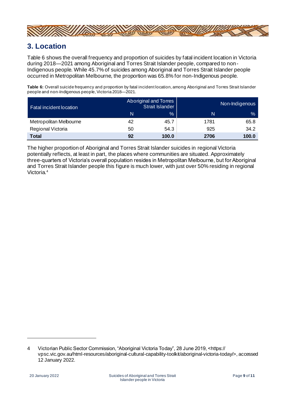

#### **3. Location**

Table 6 shows the overall frequency and proportion of suicides by fatal incident location in Victoria during 2018—2021 among Aboriginal and Torres Strait Islander people, compared to non-Indigenous people. While 45.7% of suicides among Aboriginal and Torres Strait Islander people occurred in Metropolitan Melbourne, the proportion was 65.8% for non-Indigenous people.

**Table 6:** Overall suicide frequency and proportion by fatal incident location, among Aboriginal and Torres Strait Islander people and non-Indigenous people, Victoria 2018—2021.

| Fatal incident location |    | Aboriginal and Torres<br>Strait Islander | Non-Indigenous |       |
|-------------------------|----|------------------------------------------|----------------|-------|
|                         | N  | $\frac{0}{0}$                            | N              | $\%$  |
| Metropolitan Melbourne  | 42 | 45.7                                     | 1781           | 65.8  |
| Regional Victoria       | 50 | 54.3                                     | 925            | 34.2  |
| <b>Total</b>            | 92 | 100.0                                    | 2706           | 100.0 |

The higher proportion of Aboriginal and Torres Strait Islander suicides in regional Victoria potentially reflects, at least in part, the places where communities are situated. Approximately three-quarters of Victoria's overall population resides in Metropolitan Melbourne, but for Aboriginal and Torres Strait Islander people this figure is much lower, with just over 50% residing in regional Victoria.<sup>4</sup>

<sup>4</sup> Victorian Public Sector Commission, "Aboriginal Victoria Today", 28 June 2019, <https:// vpsc.vic.gov.au/html-resources/aboriginal-cultural-capability-toolkit/aboriginal-victoria-today/>, accessed 12 January 2022.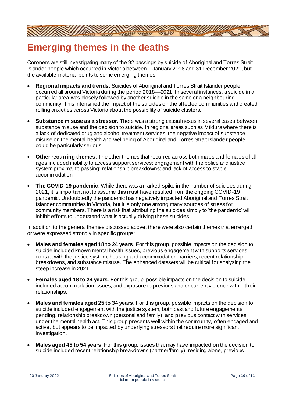

## **Emerging themes in the deaths**

Coroners are still investigating many of the 92 passings by suicide of Aboriginal and Torres Strait Islander people which occurred in Victoria between 1 January 2018 and 31 December 2021, but the available material points to some emerging themes.

- **Regional impacts and trends**. Suicides of Aboriginal and Torres Strait Islander people occurred all around Victoria during the period 2018—2021. In several instances, a suicide in a particular area was closely followed by another suicide in the same or a neighbouring community. This intensified the impact of the suicides on the affected communities and created rolling anxieties across Victoria about the possibility of suicide clusters.
- **Substance misuse as a stressor**. There was a strong causal nexus in several cases between substance misuse and the decision to suicide. In regional areas such as Mildura where there is a lack of dedicated drug and alcohol treatment services, the negative impact of substance misuse on the mental health and wellbeing of Aboriginal and Torres Strait Islander people could be particularly serious.
- **Other recurring themes**. The other themes that recurred across both males and females of all ages included inability to access support services; engagement with the police and justice system proximal to passing; relationship breakdowns; and lack of access to stable accommodation
- **The COVID-19 pandemic**. While there was a marked spike in the number of suicides during 2021, it is important not to assume this must have resulted from the ongoing COVID-19 pandemic. Undoubtedly the pandemic has negatively impacted Aboriginal and Torres Strait Islander communities in Victoria, but it is only one among many sources of stress for community members. There is a risk that attributing the suicides simply to 'the pandemic' will inhibit efforts to understand what is actually driving these suicides.

In addition to the general themes discussed above, there were also certain themes that emerged or were expressed strongly in specific groups:

- **Males and females aged 18 to 24 years**. For this group, possible impacts on the decision to suicide included known mental health issues, previous engagement with supports services, contact with the justice system, housing and accommodation barriers, recent relationship breakdowns, and substance misuse. The enhanced datasets will be critical for analysing the steep increase in 2021.
- **Females aged 18 to 24 years**. For this group, possible impacts on the decision to suicide included accommodation issues, and exposure to previous and or current violence within their relationships.
- **Males and females aged 25 to 34 years**. For this group, possible impacts on the decision to suicide included engagement with the justice system, both past and future engagements pending, relationship breakdown (personal and family), and previous contact with services under the mental health act. This group presents well within the community, often engaged and active, but appears to be impacted by underlying stressors that require more significant investigation.
- **Males aged 45 to 54 years**. For this group, issues that may have impacted on the decision to suicide included recent relationship breakdowns (partner/family), residing alone, previous